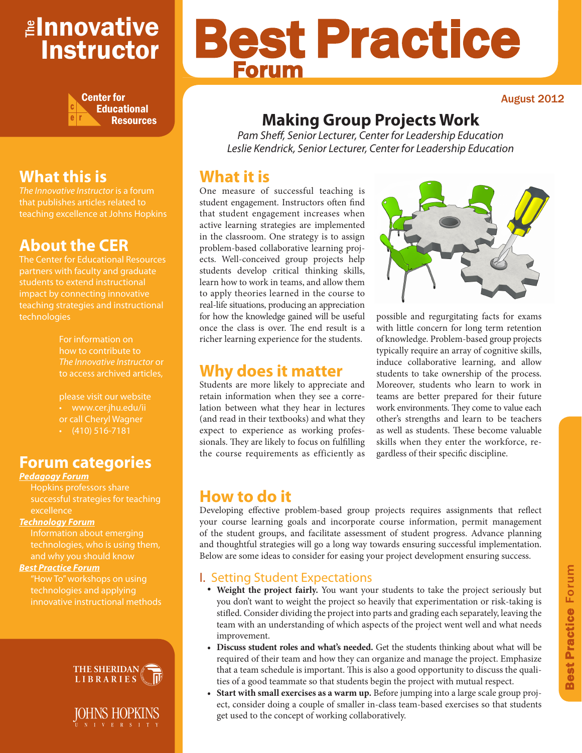## <mark>≇Innovative</mark> Instructor



# Best Practice Forum

#### August 2012

## **Making Group Projects Work**

*Pam Sheff, Senior Lecturer, Center for Leadership Education Leslie Kendrick, Senior Lecturer, Center for Leadership Education*

## **What it is**

One measure of successful teaching is student engagement. Instructors often find that student engagement increases when active learning strategies are implemented in the classroom. One strategy is to assign problem-based collaborative learning projects. Well-conceived group projects help students develop critical thinking skills, learn how to work in teams, and allow them to apply theories learned in the course to real-life situations, producing an appreciation for how the knowledge gained will be useful once the class is over. The end result is a richer learning experience for the students.

## **Why does it matter**

Students are more likely to appreciate and retain information when they see a correlation between what they hear in lectures (and read in their textbooks) and what they expect to experience as working professionals. They are likely to focus on fulfilling the course requirements as efficiently as



possible and regurgitating facts for exams with little concern for long term retention of knowledge. Problem-based group projects typically require an array of cognitive skills, induce collaborative learning, and allow students to take ownership of the process. Moreover, students who learn to work in teams are better prepared for their future work environments. They come to value each other's strengths and learn to be teachers as well as students. These become valuable skills when they enter the workforce, regardless of their specific discipline.

## **How to do it**

Developing effective problem-based group projects requires assignments that reflect your course learning goals and incorporate course information, permit management of the student groups, and facilitate assessment of student progress. Advance planning and thoughtful strategies will go a long way towards ensuring successful implementation. Below are some ideas to consider for easing your project development ensuring success.

### I. Setting Student Expectations

- • **Weight the project fairly.** You want your students to take the project seriously but you don't want to weight the project so heavily that experimentation or risk-taking is stifled. Consider dividing the project into parts and grading each separately, leaving the team with an understanding of which aspects of the project went well and what needs improvement.
- **• Discuss student roles and what's needed.** Get the students thinking about what will be required of their team and how they can organize and manage the project. Emphasize that a team schedule is important. This is also a good opportunity to discuss the qualities of a good teammate so that students begin the project with mutual respect.
- Start with small exercises as a warm up. Before jumping into a large scale group project, consider doing a couple of smaller in-class team-based exercises so that students get used to the concept of working collaboratively.

## **What this is**

*The Innovative Instructor* is a forum that publishes articles related to teaching excellence at Johns Hopkins

## **About the CER**

The Center for Educational Resources partners with faculty and graduate teaching strategies and instructional technologies

> For information on how to contribute to *The Innovative Instructor* or to access archived articles,

please visit our website or call Cheryl Wagner  $\cdot$  (410) 516-7181

## **Forum categories**

#### *Pedagogy Forum*

Hopkins professors share successful strategies for teaching excellence

#### *Technology Forum*

technologies, who is using them, and why you should know

#### *Best Practice Forum*

technologies and applying innovative instructional methods